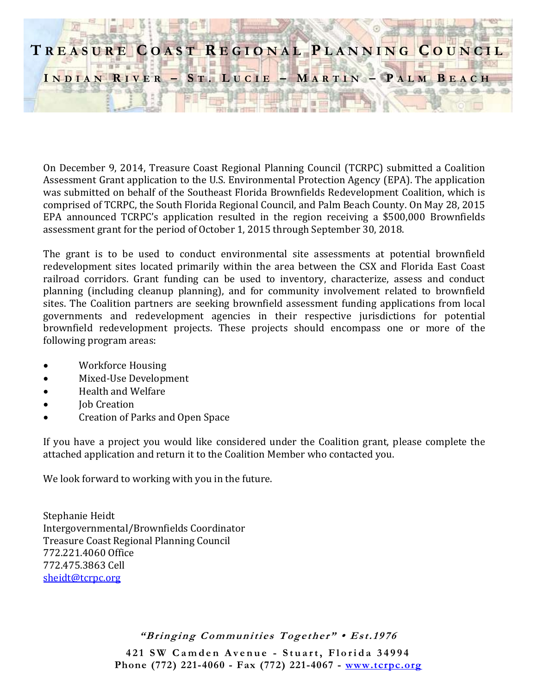# **T R E A S U R E C O A S T R E G I O N A L P L A N N I N G C O U N C I L**  $I \cap D I \cap A \cap B$  **R**  $I \cap B$  **R**  $-$  **S**  $T$  **. L U** C **I E**  $-$  **M A R**  $T I \cap N$   $-$  **P**  $A$  **L M**  $B$  **E**  $A$  C **H**

On December 9, 2014, Treasure Coast Regional Planning Council (TCRPC) submitted a Coalition Assessment Grant application to the U.S. Environmental Protection Agency (EPA). The application was submitted on behalf of the Southeast Florida Brownfields Redevelopment Coalition, which is comprised of TCRPC, the South Florida Regional Council, and Palm Beach County. On May 28, 2015 EPA announced TCRPC's application resulted in the region receiving a \$500,000 Brownfields assessment grant for the period of October 1, 2015 through September 30, 2018.

The grant is to be used to conduct environmental site assessments at potential brownfield redevelopment sites located primarily within the area between the CSX and Florida East Coast railroad corridors. Grant funding can be used to inventory, characterize, assess and conduct planning (including cleanup planning), and for community involvement related to brownfield sites. The Coalition partners are seeking brownfield assessment funding applications from local governments and redevelopment agencies in their respective jurisdictions for potential brownfield redevelopment projects. These projects should encompass one or more of the following program areas:

- Workforce Housing
- Mixed-Use Development
- Health and Welfare
- Job Creation
- Creation of Parks and Open Space

If you have a project you would like considered under the Coalition grant, please complete the attached application and return it to the Coalition Member who contacted you.

We look forward to working with you in the future.

Stephanie Heidt Intergovernmental/Brownfields Coordinator Treasure Coast Regional Planning Council 772.221.4060 Office 772.475.3863 Cell [sheidt@tcrpc.org](mailto:sheidt@tcrpc.org)

"Bringing Communities Together" • Est.1976

421 SW Camden Avenue - Stuart, Florida 34994 **Phone (772) 221-4060 - Fax (772) 221-4067 - [www.tcrpc.org](http://www.tcrpc.org/)**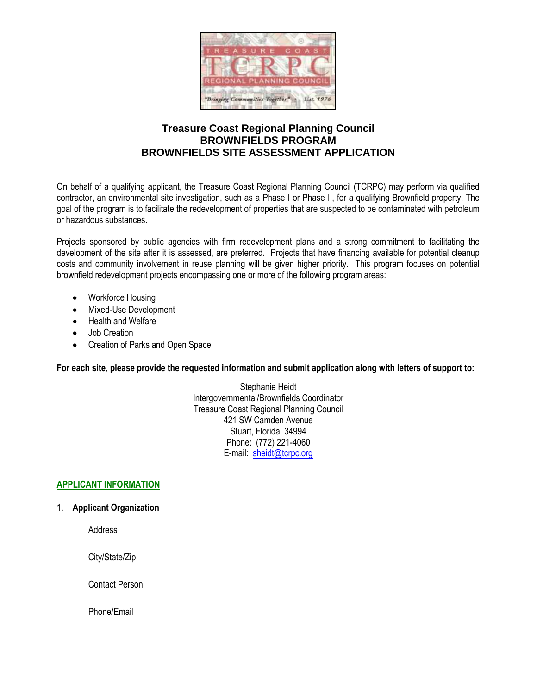

## **Treasure Coast Regional Planning Council BROWNFIELDS PROGRAM BROWNFIELDS SITE ASSESSMENT APPLICATION**

On behalf of a qualifying applicant, the Treasure Coast Regional Planning Council (TCRPC) may perform via qualified contractor, an environmental site investigation, such as a Phase I or Phase II, for a qualifying Brownfield property. The goal of the program is to facilitate the redevelopment of properties that are suspected to be contaminated with petroleum or hazardous substances.

Projects sponsored by public agencies with firm redevelopment plans and a strong commitment to facilitating the development of the site after it is assessed, are preferred. Projects that have financing available for potential cleanup costs and community involvement in reuse planning will be given higher priority. This program focuses on potential brownfield redevelopment projects encompassing one or more of the following program areas:

- Workforce Housing
- Mixed-Use Development
- Health and Welfare
- Job Creation
- Creation of Parks and Open Space

**For each site, please provide the requested information and submit application along with letters of support to:**

Stephanie Heidt Intergovernmental/Brownfields Coordinator Treasure Coast Regional Planning Council 421 SW Camden Avenue Stuart, Florida 34994 Phone: (772) 221-4060 E-mail: [sheidt@tcrpc.org](mailto:sheidt@tcrpc.org)

### **APPLICANT INFORMATION**

1. **Applicant Organization** 

Address

City/State/Zip

Contact Person

Phone/Email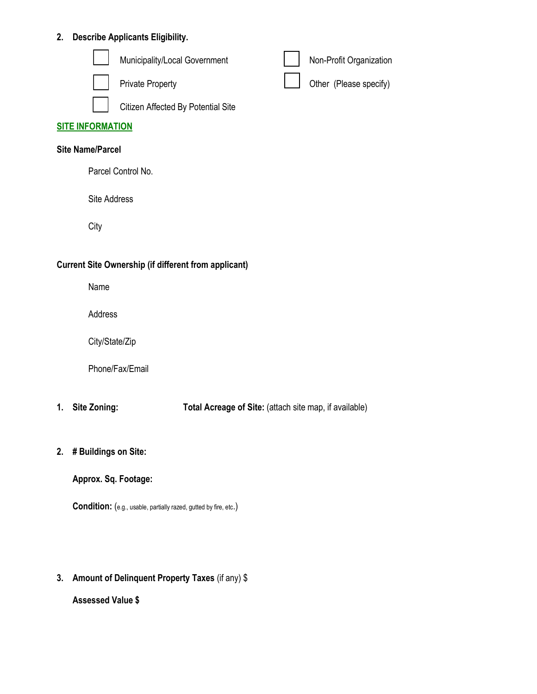## **2. Describe Applicants Eligibility.**

|                         | Municipality/Local Government      |  | Non-Profit Organization |
|-------------------------|------------------------------------|--|-------------------------|
|                         | <b>Private Property</b>            |  | Other (Please specify)  |
|                         | Citizen Affected By Potential Site |  |                         |
| <b>SITE INFORMATION</b> |                                    |  |                         |
| <b>Site Name/Parcel</b> |                                    |  |                         |
| Parcel Control No.      |                                    |  |                         |

Site Address

**City** 

#### **Current Site Ownership (if different from applicant)**

Name

Address

City/State/Zip

Phone/Fax/Email

- **1. Site Zoning: Total Acreage of Site:** (attach site map, if available)
- **2. # Buildings on Site:**

**Approx. Sq. Footage:** 

**Condition:** (e.g., usable, partially razed, gutted by fire, etc.)

**3. Amount of Delinquent Property Taxes** (if any) \$

**Assessed Value \$**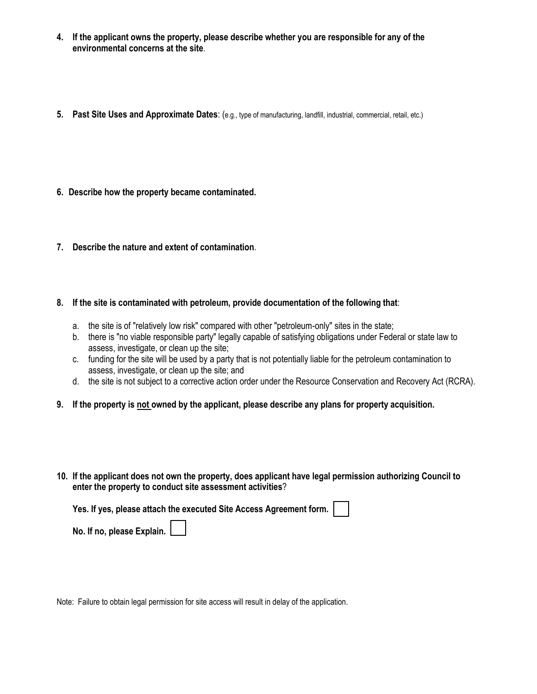- **4. If the applicant owns the property, please describe whether you are responsible for any of the environmental concerns at the site**.
- **5. Past Site Uses and Approximate Dates**: (e.g., type of manufacturing, landfill, industrial, commercial, retail, etc.)
- **6. Describe how the property became contaminated.**
- **7. Describe the nature and extent of contamination**.
- **8. If the site is contaminated with petroleum, provide documentation of the following that**:
	- a. the site is of "relatively low risk" compared with other "petroleum-only" sites in the state;
	- b. there is "no viable responsible party" legally capable of satisfying obligations under Federal or state law to assess, investigate, or clean up the site;
	- c. funding for the site will be used by a party that is not potentially liable for the petroleum contamination to assess, investigate, or clean up the site; and
	- d. the site is not subject to a corrective action order under the Resource Conservation and Recovery Act (RCRA).
- **9. If the property is not owned by the applicant, please describe any plans for property acquisition.**
- **10. If the applicant does not own the property, does applicant have legal permission authorizing Council to enter the property to conduct site assessment activities**?

**Yes. If yes, please attach the executed Site Access Agreement form.** 

**No. If no, please Explain.**

Note: Failure to obtain legal permission for site access will result in delay of the application.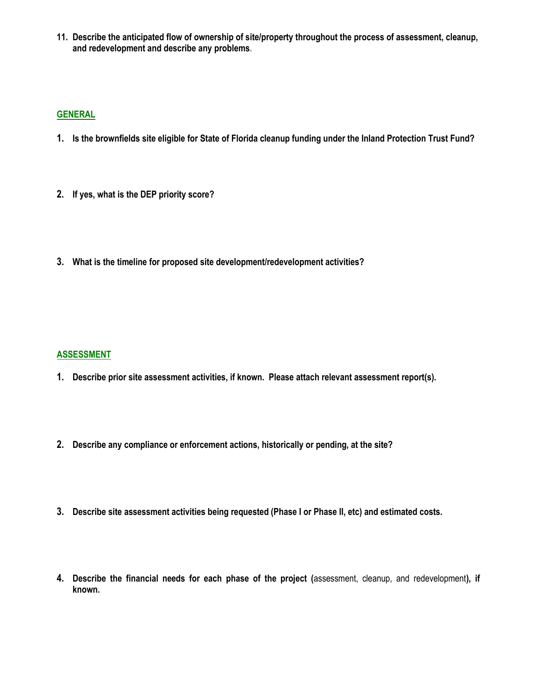**11. Describe the anticipated flow of ownership of site/property throughout the process of assessment, cleanup, and redevelopment and describe any problems**.

#### **GENERAL**

- **1. Is the brownfields site eligible for State of Florida cleanup funding under the Inland Protection Trust Fund?**
- **2. If yes, what is the DEP priority score?**
- **3. What is the timeline for proposed site development/redevelopment activities?**

#### **ASSESSMENT**

- **1. Describe prior site assessment activities, if known. Please attach relevant assessment report(s).**
- **2. Describe any compliance or enforcement actions, historically or pending, at the site?**
- **3. Describe site assessment activities being requested (Phase I or Phase II, etc) and estimated costs.**
- **4. Describe the financial needs for each phase of the project (**assessment, cleanup, and redevelopment**), if known.**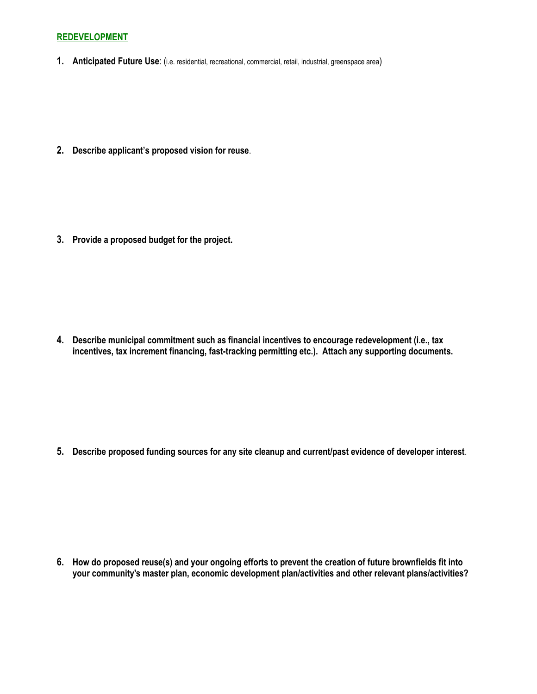#### **REDEVELOPMENT**

**1. Anticipated Future Use**: (i.e. residential, recreational, commercial, retail, industrial, greenspace area)

**2. Describe applicant's proposed vision for reuse**.

**3. Provide a proposed budget for the project.**

**4. Describe municipal commitment such as financial incentives to encourage redevelopment (i.e., tax incentives, tax increment financing, fast-tracking permitting etc.). Attach any supporting documents.**

**5. Describe proposed funding sources for any site cleanup and current/past evidence of developer interest**.

**6. How do proposed reuse(s) and your ongoing efforts to prevent the creation of future brownfields fit into your community's master plan, economic development plan/activities and other relevant plans/activities?**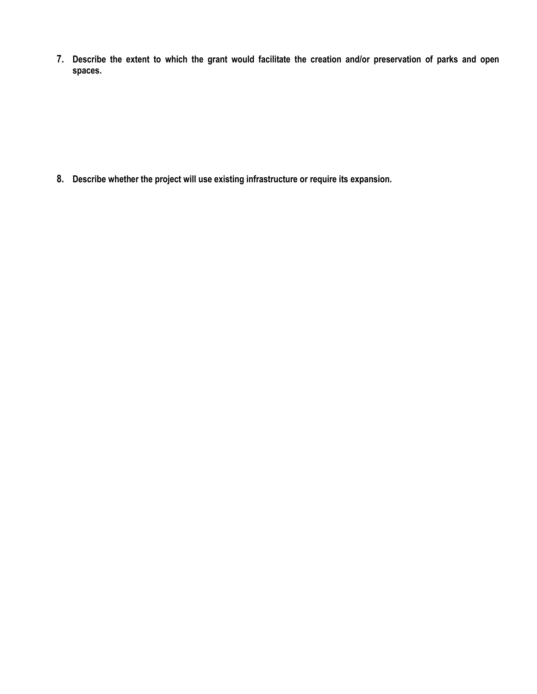**7. Describe the extent to which the grant would facilitate the creation and/or preservation of parks and open spaces.** 

**8. Describe whether the project will use existing infrastructure or require its expansion.**